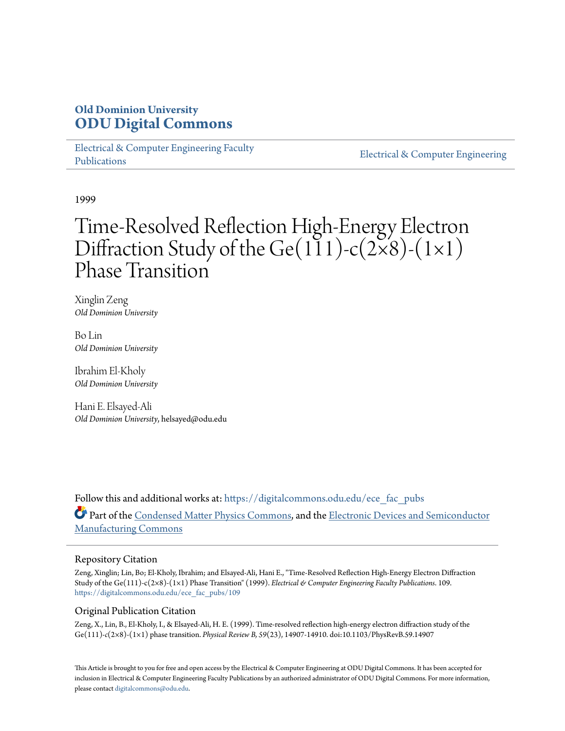## **Old Dominion University [ODU Digital Commons](https://digitalcommons.odu.edu?utm_source=digitalcommons.odu.edu%2Fece_fac_pubs%2F109&utm_medium=PDF&utm_campaign=PDFCoverPages)**

[Electrical & Computer Engineering Faculty](https://digitalcommons.odu.edu/ece_fac_pubs?utm_source=digitalcommons.odu.edu%2Fece_fac_pubs%2F109&utm_medium=PDF&utm_campaign=PDFCoverPages) [Publications](https://digitalcommons.odu.edu/ece_fac_pubs?utm_source=digitalcommons.odu.edu%2Fece_fac_pubs%2F109&utm_medium=PDF&utm_campaign=PDFCoverPages)

[Electrical & Computer Engineering](https://digitalcommons.odu.edu/ece?utm_source=digitalcommons.odu.edu%2Fece_fac_pubs%2F109&utm_medium=PDF&utm_campaign=PDFCoverPages)

1999

# Time-Resolved Reflection High-Energy Electron Diffraction Study of the Ge(111)-c(2×8)-(1×1) Phase Transition

Xinglin Zeng *Old Dominion University*

Bo Lin *Old Dominion University*

Ibrahim El-Kholy *Old Dominion University*

Hani E. Elsayed-Ali *Old Dominion University*, helsayed@odu.edu

Follow this and additional works at: [https://digitalcommons.odu.edu/ece\\_fac\\_pubs](https://digitalcommons.odu.edu/ece_fac_pubs?utm_source=digitalcommons.odu.edu%2Fece_fac_pubs%2F109&utm_medium=PDF&utm_campaign=PDFCoverPages) Part of the [Condensed Matter Physics Commons,](http://network.bepress.com/hgg/discipline/197?utm_source=digitalcommons.odu.edu%2Fece_fac_pubs%2F109&utm_medium=PDF&utm_campaign=PDFCoverPages) and the [Electronic Devices and Semiconductor](http://network.bepress.com/hgg/discipline/272?utm_source=digitalcommons.odu.edu%2Fece_fac_pubs%2F109&utm_medium=PDF&utm_campaign=PDFCoverPages) [Manufacturing Commons](http://network.bepress.com/hgg/discipline/272?utm_source=digitalcommons.odu.edu%2Fece_fac_pubs%2F109&utm_medium=PDF&utm_campaign=PDFCoverPages)

#### Repository Citation

Zeng, Xinglin; Lin, Bo; El-Kholy, Ibrahim; and Elsayed-Ali, Hani E., "Time-Resolved Reflection High-Energy Electron Diffraction Study of the Ge(111)-c(2×8)-(1×1) Phase Transition" (1999). *Electrical & Computer Engineering Faculty Publications*. 109. [https://digitalcommons.odu.edu/ece\\_fac\\_pubs/109](https://digitalcommons.odu.edu/ece_fac_pubs/109?utm_source=digitalcommons.odu.edu%2Fece_fac_pubs%2F109&utm_medium=PDF&utm_campaign=PDFCoverPages)

#### Original Publication Citation

Zeng, X., Lin, B., El-Kholy, I., & Elsayed-Ali, H. E. (1999). Time-resolved reflection high-energy electron diffraction study of the Ge(111)*-c*(2×8)-(1×1) phase transition. *Physical Review B, 59*(23), 14907-14910. doi:10.1103/PhysRevB.59.14907

This Article is brought to you for free and open access by the Electrical & Computer Engineering at ODU Digital Commons. It has been accepted for inclusion in Electrical & Computer Engineering Faculty Publications by an authorized administrator of ODU Digital Commons. For more information, please contact [digitalcommons@odu.edu](mailto:digitalcommons@odu.edu).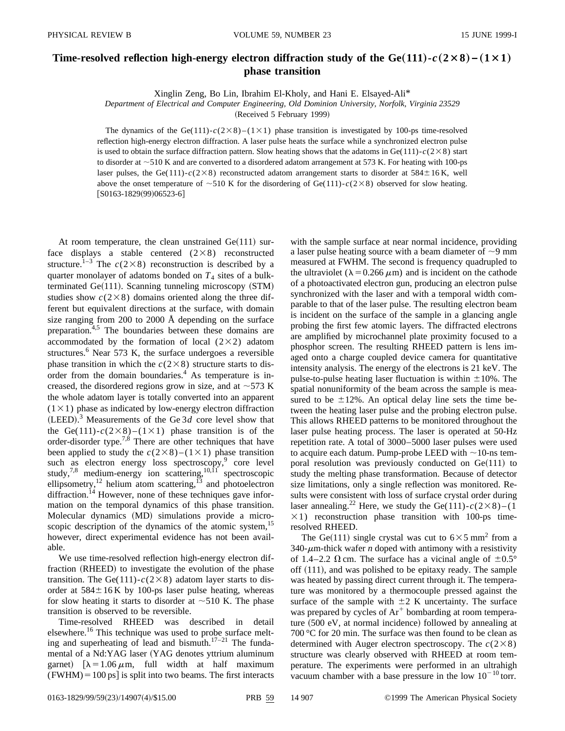### **Time-resolved reflection high-energy electron diffraction study of the Ge(111)**  $-c(2\times8) - (1\times1)$ **phase transition**

Xinglin Zeng, Bo Lin, Ibrahim El-Kholy, and Hani E. Elsayed-Ali\*

*Department of Electrical and Computer Engineering, Old Dominion University, Norfolk, Virginia 23529*

(Received 5 February 1999)

The dynamics of the Ge(111)- $c(2\times8)$ – $(1\times1)$  phase transition is investigated by 100-ps time-resolved reflection high-energy electron diffraction. A laser pulse heats the surface while a synchronized electron pulse is used to obtain the surface diffraction pattern. Slow heating shows that the adatoms in Ge(111) $-c(2\times8)$  start to disorder at  $\sim$ 510 K and are converted to a disordered adatom arrangement at 573 K. For heating with 100-ps laser pulses, the Ge(111)- $c(2\times8)$  reconstructed adatom arrangement starts to disorder at 584 $\pm$ 16 K, well above the onset temperature of  $\sim$  510 K for the disordering of Ge(111)-*c*(2×8) observed for slow heating.  $[$0163-1829(99)06523-6]$ 

At room temperature, the clean unstrained  $Ge(111)$  surface displays a stable centered  $(2\times8)$  reconstructed structure.<sup>1–3</sup> The  $c(2\times8)$  reconstruction is described by a quarter monolayer of adatoms bonded on  $T<sub>4</sub>$  sites of a bulkterminated  $Ge(111)$ . Scanning tunneling microscopy  $(STM)$ studies show  $c(2\times8)$  domains oriented along the three different but equivalent directions at the surface, with domain size ranging from 200 to 2000 Å depending on the surface preparation.4,5 The boundaries between these domains are accommodated by the formation of local  $(2\times2)$  adatom structures.<sup>6</sup> Near 573 K, the surface undergoes a reversible phase transition in which the  $c(2\times8)$  structure starts to disorder from the domain boundaries. $4$  As temperature is increased, the disordered regions grow in size, and at  $\sim$  573 K the whole adatom layer is totally converted into an apparent  $(1 \times 1)$  phase as indicated by low-energy electron diffraction  $(LEED).$ <sup>3</sup> Measurements of the Ge 3*d* core level show that the Ge(111)- $c(2\times8)$ -(1×1) phase transition is of the order-disorder type.7,8 There are other techniques that have been applied to study the  $c(2\times8)$ –(1×1) phase transition such as electron energy loss spectroscopy, $9$  core level study,<sup>7,8</sup> medium-energy ion scattering,<sup>10,11</sup> spectroscopic ellipsometry,<sup>12</sup> helium atom scattering,<sup>13</sup> and photoelectron diffraction.<sup>14</sup> However, none of these techniques gave information on the temporal dynamics of this phase transition. Molecular dynamics (MD) simulations provide a microscopic description of the dynamics of the atomic system,<sup>15</sup> however, direct experimental evidence has not been available.

We use time-resolved reflection high-energy electron diffraction (RHEED) to investigate the evolution of the phase transition. The Ge(111)- $c(2\times8)$  adatom layer starts to disorder at  $584 \pm 16$  K by 100-ps laser pulse heating, whereas for slow heating it starts to disorder at  $\sim$ 510 K. The phase transition is observed to be reversible.

Time-resolved RHEED was described in detail elsewhere.<sup>16</sup> This technique was used to probe surface melting and superheating of lead and bismuth. $17-21$  The fundamental of a Nd:YAG laser (YAG denotes yttrium aluminum garnet)  $\lambda = 1.06 \mu \text{m}$ , full width at half maximum  $(FWHM) = 100 \text{ ps}$  is split into two beams. The first interacts with the sample surface at near normal incidence, providing a laser pulse heating source with a beam diameter of  $\sim$ 9 mm measured at FWHM. The second is frequency quadrupled to the ultraviolet ( $\lambda = 0.266 \mu m$ ) and is incident on the cathode of a photoactivated electron gun, producing an electron pulse synchronized with the laser and with a temporal width comparable to that of the laser pulse. The resulting electron beam is incident on the surface of the sample in a glancing angle probing the first few atomic layers. The diffracted electrons are amplified by microchannel plate proximity focused to a phosphor screen. The resulting RHEED pattern is lens imaged onto a charge coupled device camera for quantitative intensity analysis. The energy of the electrons is 21 keV. The pulse-to-pulse heating laser fluctuation is within  $\pm 10\%$ . The spatial nonuniformity of the beam across the sample is measured to be  $\pm 12\%$ . An optical delay line sets the time between the heating laser pulse and the probing electron pulse. This allows RHEED patterns to be monitored throughout the laser pulse heating process. The laser is operated at 50-Hz repetition rate. A total of 3000–5000 laser pulses were used to acquire each datum. Pump-probe LEED with  $\sim$ 10-ns temporal resolution was previously conducted on  $Ge(111)$  to study the melting phase transformation. Because of detector size limitations, only a single reflection was monitored. Results were consistent with loss of surface crystal order during laser annealing.<sup>22</sup> Here, we study the Ge(111)- $c(2\times8)$ -(1  $\times$ 1) reconstruction phase transition with 100-ps timeresolved RHEED.

The Ge(111) single crystal was cut to  $6\times5$  mm<sup>2</sup> from a  $340$ - $\mu$ m-thick wafer *n* doped with antimony with a resistivity of 1.4–2.2  $\Omega$  cm. The surface has a vicinal angle of  $\pm 0.5^{\circ}$ off  $(111)$ , and was polished to be epitaxy ready. The sample was heated by passing direct current through it. The temperature was monitored by a thermocouple pressed against the surface of the sample with  $\pm 2$  K uncertainty. The surface was prepared by cycles of  $Ar^+$  bombarding at room temperature  $(500 \text{ eV})$ , at normal incidence) followed by annealing at 700 °C for 20 min. The surface was then found to be clean as determined with Auger electron spectroscopy. The  $c(2\times8)$ structure was clearly observed with RHEED at room temperature. The experiments were performed in an ultrahigh vacuum chamber with a base pressure in the low  $10^{-10}$  torr.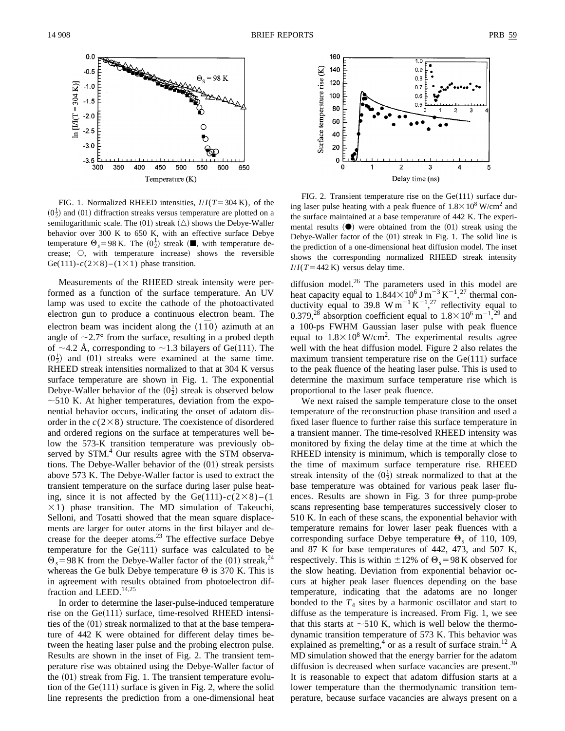

FIG. 1. Normalized RHEED intensities,  $I/I(T=304 \text{ K})$ , of the  $(0\frac{1}{2})$  and  $(01)$  diffraction streaks versus temperature are plotted on a semilogarithmic scale. The  $(01)$  streak  $(\triangle)$  shows the Debye-Waller behavior over 300 K to 650 K, with an effective surface Debye temperature  $\Theta_s = 98 \text{ K}$ . The  $(0\frac{1}{2})$  streak ( $\blacksquare$ , with temperature decrease;  $\bigcirc$ , with temperature increase) shows the reversible Ge(111)- $c$ (2×8)-(1×1) phase transition.

Measurements of the RHEED streak intensity were performed as a function of the surface temperature. An UV lamp was used to excite the cathode of the photoactivated electron gun to produce a continuous electron beam. The electron beam was incident along the  $\langle 1\bar{1}0 \rangle$  azimuth at an angle of  $\sim$ 2.7° from the surface, resulting in a probed depth of  $\sim$ 4.2 Å, corresponding to  $\sim$ 1.3 bilayers of Ge(111). The  $(0^{\frac{1}{2}})$  and  $(01)$  streaks were examined at the same time. RHEED streak intensities normalized to that at 304 K versus surface temperature are shown in Fig. 1. The exponential Debye-Waller behavior of the  $(0^{\frac{1}{2}})$  streak is observed below  $\sim$  510 K. At higher temperatures, deviation from the exponential behavior occurs, indicating the onset of adatom disorder in the  $c(2\times8)$  structure. The coexistence of disordered and ordered regions on the surface at temperatures well below the 573-K transition temperature was previously observed by STM.<sup>4</sup> Our results agree with the STM observations. The Debye-Waller behavior of the  $(01)$  streak persists above 573 K. The Debye-Waller factor is used to extract the transient temperature on the surface during laser pulse heating, since it is not affected by the Ge(111)- $c(2\times8)$ -(1  $\times$ 1) phase transition. The MD simulation of Takeuchi, Selloni, and Tosatti showed that the mean square displacements are larger for outer atoms in the first bilayer and decrease for the deeper atoms. $^{23}$  The effective surface Debye temperature for the  $Ge(111)$  surface was calculated to be  $\Theta_s$  = 98 K from the Debye-Waller factor of the (01) streak,<sup>24</sup> whereas the Ge bulk Debye temperature  $\Theta$  is 370 K. This is in agreement with results obtained from photoelectron diffraction and LEED.<sup>14,25</sup>

In order to determine the laser-pulse-induced temperature rise on the  $Ge(111)$  surface, time-resolved RHEED intensities of the  $(01)$  streak normalized to that at the base temperature of 442 K were obtained for different delay times between the heating laser pulse and the probing electron pulse. Results are shown in the inset of Fig. 2. The transient temperature rise was obtained using the Debye-Waller factor of the  $(01)$  streak from Fig. 1. The transient temperature evolution of the  $Ge(111)$  surface is given in Fig. 2, where the solid line represents the prediction from a one-dimensional heat



FIG. 2. Transient temperature rise on the  $Ge(111)$  surface during laser pulse heating with a peak fluence of  $1.8\times10^8$  W/cm<sup>2</sup> and the surface maintained at a base temperature of 442 K. The experimental results  $(①)$  were obtained from the  $(01)$  streak using the Debye-Waller factor of the  $(01)$  streak in Fig. 1. The solid line is the prediction of a one-dimensional heat diffusion model. The inset shows the corresponding normalized RHEED streak intensity  $I/I(T=442 \text{ K})$  versus delay time.

diffusion model. $^{26}$  The parameters used in this model are heat capacity equal to  $1.844 \times 10^6$  J m<sup>-3</sup> K<sup>-1</sup>,<sup>27</sup> thermal conductivity equal to 39.8 W m<sup>-1</sup> K<sup>-1</sup>,<sup>27</sup> reflectivity equal to 0.379,<sup>28</sup> absorption coefficient equal to  $1.8 \times 10^6$  m<sup>-1</sup>,<sup>29</sup> and a 100-ps FWHM Gaussian laser pulse with peak fluence equal to  $1.8 \times 10^8$  W/cm<sup>2</sup>. The experimental results agree well with the heat diffusion model. Figure 2 also relates the maximum transient temperature rise on the  $Ge(111)$  surface to the peak fluence of the heating laser pulse. This is used to determine the maximum surface temperature rise which is proportional to the laser peak fluence.

We next raised the sample temperature close to the onset temperature of the reconstruction phase transition and used a fixed laser fluence to further raise this surface temperature in a transient manner. The time-resolved RHEED intensity was monitored by fixing the delay time at the time at which the RHEED intensity is minimum, which is temporally close to the time of maximum surface temperature rise. RHEED streak intensity of the  $(0^{\frac{1}{2}})$  streak normalized to that at the base temperature was obtained for various peak laser fluences. Results are shown in Fig. 3 for three pump-probe scans representing base temperatures successively closer to 510 K. In each of these scans, the exponential behavior with temperature remains for lower laser peak fluences with a corresponding surface Debye temperature  $\Theta_s$  of 110, 109, and 87 K for base temperatures of 442, 473, and 507 K, respectively. This is within  $\pm 12\%$  of  $\Theta_s = 98$  K observed for the slow heating. Deviation from exponential behavior occurs at higher peak laser fluences depending on the base temperature, indicating that the adatoms are no longer bonded to the  $T_4$  sites by a harmonic oscillator and start to diffuse as the temperature is increased. From Fig. 1, we see that this starts at  $\sim$  510 K, which is well below the thermodynamic transition temperature of 573 K. This behavior was explained as premelting,<sup>4</sup> or as a result of surface strain.<sup>12</sup> A MD simulation showed that the energy barrier for the adatom diffusion is decreased when surface vacancies are present. $30$ It is reasonable to expect that adatom diffusion starts at a lower temperature than the thermodynamic transition temperature, because surface vacancies are always present on a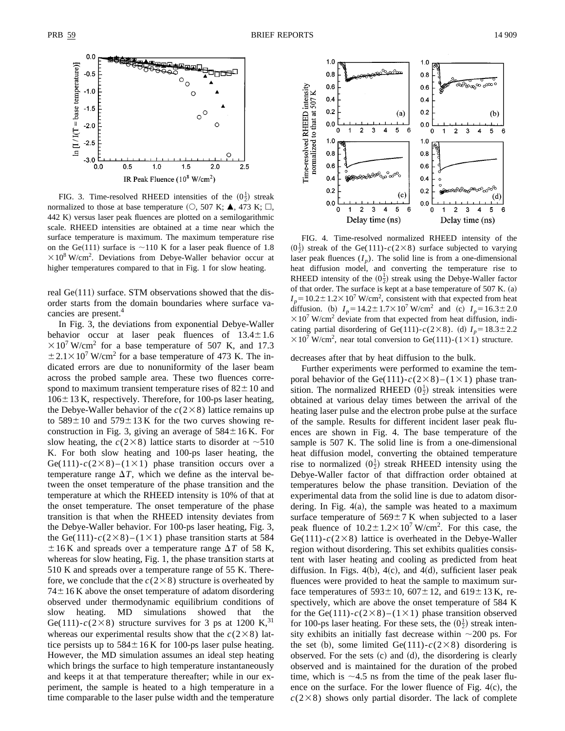

FIG. 3. Time-resolved RHEED intensities of the  $(0\frac{1}{2})$  streak normalized to those at base temperature  $(O, 507 \text{ K}; \blacktriangle, 473 \text{ K}; \square,$  $442$  K) versus laser peak fluences are plotted on a semilogarithmic scale. RHEED intensities are obtained at a time near which the surface temperature is maximum. The maximum temperature rise on the Ge(111) surface is  $\sim$ 110 K for a laser peak fluence of 1.8  $\times$  10<sup>8</sup> W/cm<sup>2</sup>. Deviations from Debye-Waller behavior occur at higher temperatures compared to that in Fig. 1 for slow heating.

real  $Ge(111)$  surface. STM observations showed that the disorder starts from the domain boundaries where surface vacancies are present.<sup>4</sup>

In Fig. 3, the deviations from exponential Debye-Waller behavior occur at laser peak fluences of  $13.4 \pm 1.6$  $310^{7}$  W/cm<sup>2</sup> for a base temperature of 507 K, and 17.3  $\pm 2.1 \times 10^7$  W/cm<sup>2</sup> for a base temperature of 473 K. The indicated errors are due to nonuniformity of the laser beam across the probed sample area. These two fluences correspond to maximum transient temperature rises of  $82 \pm 10$  and  $106\pm13$  K, respectively. Therefore, for 100-ps laser heating, the Debye-Waller behavior of the  $c(2\times8)$  lattice remains up to  $589 \pm 10$  and  $579 \pm 13$  K for the two curves showing reconstruction in Fig. 3, giving an average of  $584 \pm 16$  K. For slow heating, the  $c(2\times8)$  lattice starts to disorder at  $\sim510$ K. For both slow heating and 100-ps laser heating, the Ge(111)- $c(2\times8)$ -(1×1) phase transition occurs over a temperature range  $\Delta T$ , which we define as the interval between the onset temperature of the phase transition and the temperature at which the RHEED intensity is 10% of that at the onset temperature. The onset temperature of the phase transition is that when the RHEED intensity deviates from the Debye-Waller behavior. For 100-ps laser heating, Fig. 3, the Ge(111)- $c(2\times8)$ –(1×1) phase transition starts at 584  $\pm 16$  K and spreads over a temperature range  $\Delta T$  of 58 K, whereas for slow heating, Fig. 1, the phase transition starts at 510 K and spreads over a temperature range of 55 K. Therefore, we conclude that the  $c(2\times8)$  structure is overheated by  $74\pm16$  K above the onset temperature of adatom disordering observed under thermodynamic equilibrium conditions of slow heating. MD simulations showed that the Ge(111)- $c(2\times8)$  structure survives for 3 ps at 1200 K,<sup>31</sup> whereas our experimental results show that the  $c(2\times8)$  lattice persists up to  $584 \pm 16$  K for 100-ps laser pulse heating. However, the MD simulation assumes an ideal step heating which brings the surface to high temperature instantaneously and keeps it at that temperature thereafter; while in our experiment, the sample is heated to a high temperature in a time comparable to the laser pulse width and the temperature



FIG. 4. Time-resolved normalized RHEED intensity of the  $(0^{\frac{1}{2}})$  streak of the Ge(111)- $c(2\times8)$  surface subjected to varying laser peak fluences  $(I_p)$ . The solid line is from a one-dimensional heat diffusion model, and converting the temperature rise to RHEED intensity of the  $(0^{\frac{1}{2}})$  streak using the Debye-Waller factor of that order. The surface is kept at a base temperature of  $507$  K. (a)  $I_p = 10.2 \pm 1.2 \times 10^7$  W/cm<sup>2</sup>, consistent with that expected from heat diffusion. (b)  $I_p = 14.2 \pm 1.7 \times 10^7$  W/cm<sup>2</sup> and (c)  $I_p = 16.3 \pm 2.0$  $310<sup>7</sup>$  W/cm<sup>2</sup> deviate from that expected from heat diffusion, indicating partial disordering of Ge(111)- $c(2\times8)$ . (d)  $I_p=18.3\pm2.2$  $\times 10^7$  W/cm<sup>2</sup>, near total conversion to Ge(111)-(1×1) structure.

decreases after that by heat diffusion to the bulk.

Further experiments were performed to examine the temporal behavior of the Ge(111)- $c(2\times8)$ –(1×1) phase transition. The normalized RHEED  $(0^{\frac{1}{2}})$  streak intensities were obtained at various delay times between the arrival of the heating laser pulse and the electron probe pulse at the surface of the sample. Results for different incident laser peak fluences are shown in Fig. 4. The base temperature of the sample is 507 K. The solid line is from a one-dimensional heat diffusion model, converting the obtained temperature rise to normalized  $(0^{\frac{1}{2}})$  streak RHEED intensity using the Debye-Waller factor of that diffraction order obtained at temperatures below the phase transition. Deviation of the experimental data from the solid line is due to adatom disordering. In Fig.  $4(a)$ , the sample was heated to a maximum surface temperature of  $569 \pm 7$  K when subjected to a laser peak fluence of  $10.2 \pm 1.2 \times 10^7$  W/cm<sup>2</sup>. For this case, the Ge(111)- $c(2\times8)$  lattice is overheated in the Debye-Waller region without disordering. This set exhibits qualities consistent with laser heating and cooling as predicted from heat diffusion. In Figs.  $4(b)$ ,  $4(c)$ , and  $4(d)$ , sufficient laser peak fluences were provided to heat the sample to maximum surface temperatures of  $593\pm10$ ,  $607\pm12$ , and  $619\pm13$  K, respectively, which are above the onset temperature of 584 K for the Ge(111)- $c(2\times8)$ –(1×1) phase transition observed for 100-ps laser heating. For these sets, the  $(0\frac{1}{2})$  streak intensity exhibits an initially fast decrease within  $\sim$ 200 ps. For the set (b), some limited Ge(111)- $c(2\times8)$  disordering is observed. For the sets  $(c)$  and  $(d)$ , the disordering is clearly observed and is maintained for the duration of the probed time, which is  $\sim$ 4.5 ns from the time of the peak laser fluence on the surface. For the lower fluence of Fig.  $4(c)$ , the  $c(2\times8)$  shows only partial disorder. The lack of complete